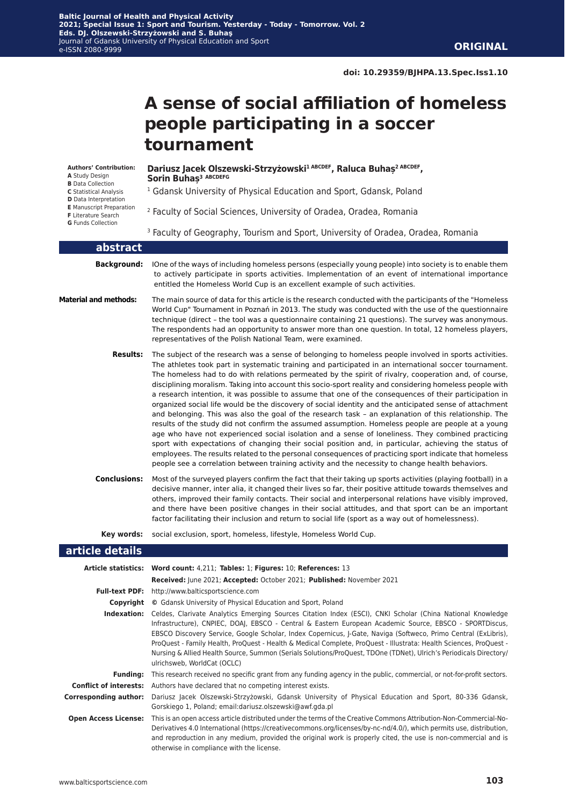# **A sense of social affiliation of homeless people participating in a soccer tournament**

**Authors' Contribution: A** Study Design **B** Data Collection **C** Statistical Analysis **D** Data Interpretation **E** Manuscript Preparation **F** Literature Search **G** Funds Collection

**Dariusz Jacek Olszewski-Strzyżowski1 ABCDEF, Raluca Buhaș2 ABCDEF, Sorin Buhaș<sup>3</sup> ABCDEFG**

- <sup>1</sup> Gdansk University of Physical Education and Sport, Gdansk, Poland
- 2 Faculty of Social Sciences, University of Oradea, Oradea, Romania
- <sup>3</sup> Faculty of Geography, Tourism and Sport, University of Oradea, Oradea, Romania

| abstract                     |                                                                                                                                                                                                                                                                                                                                                                                                                                                                                                                                                                                                                                                                                                                                                                                                                                                                                                                                                                                                                                                                                                                                                                                                                                                                                                      |
|------------------------------|------------------------------------------------------------------------------------------------------------------------------------------------------------------------------------------------------------------------------------------------------------------------------------------------------------------------------------------------------------------------------------------------------------------------------------------------------------------------------------------------------------------------------------------------------------------------------------------------------------------------------------------------------------------------------------------------------------------------------------------------------------------------------------------------------------------------------------------------------------------------------------------------------------------------------------------------------------------------------------------------------------------------------------------------------------------------------------------------------------------------------------------------------------------------------------------------------------------------------------------------------------------------------------------------------|
| <b>Background:</b>           | IOne of the ways of including homeless persons (especially young people) into society is to enable them<br>to actively participate in sports activities. Implementation of an event of international importance<br>entitled the Homeless World Cup is an excellent example of such activities.                                                                                                                                                                                                                                                                                                                                                                                                                                                                                                                                                                                                                                                                                                                                                                                                                                                                                                                                                                                                       |
| <b>Material and methods:</b> | The main source of data for this article is the research conducted with the participants of the "Homeless"<br>World Cup" Tournament in Poznań in 2013. The study was conducted with the use of the questionnaire<br>technique (direct - the tool was a questionnaire containing 21 questions). The survey was anonymous.<br>The respondents had an opportunity to answer more than one question. In total, 12 homeless players,<br>representatives of the Polish National Team, were examined.                                                                                                                                                                                                                                                                                                                                                                                                                                                                                                                                                                                                                                                                                                                                                                                                       |
| <b>Results:</b>              | The subject of the research was a sense of belonging to homeless people involved in sports activities.<br>The athletes took part in systematic training and participated in an international soccer tournament.<br>The homeless had to do with relations permeated by the spirit of rivalry, cooperation and, of course,<br>disciplining moralism. Taking into account this socio-sport reality and considering homeless people with<br>a research intention, it was possible to assume that one of the consequences of their participation in<br>organized social life would be the discovery of social identity and the anticipated sense of attachment<br>and belonging. This was also the goal of the research task - an explanation of this relationship. The<br>results of the study did not confirm the assumed assumption. Homeless people are people at a young<br>age who have not experienced social isolation and a sense of loneliness. They combined practicing<br>sport with expectations of changing their social position and, in particular, achieving the status of<br>employees. The results related to the personal consequences of practicing sport indicate that homeless<br>people see a correlation between training activity and the necessity to change health behaviors. |
| <b>Conclusions:</b>          | Most of the surveyed players confirm the fact that their taking up sports activities (playing football) in a<br>decisive manner, inter alia, it changed their lives so far, their positive attitude towards themselves and<br>others, improved their family contacts. Their social and interpersonal relations have visibly improved,<br>and there have been positive changes in their social attitudes, and that sport can be an important<br>factor facilitating their inclusion and return to social life (sport as a way out of homelessness).                                                                                                                                                                                                                                                                                                                                                                                                                                                                                                                                                                                                                                                                                                                                                   |
| Key words:                   | social exclusion, sport, homeless, lifestyle, Homeless World Cup.                                                                                                                                                                                                                                                                                                                                                                                                                                                                                                                                                                                                                                                                                                                                                                                                                                                                                                                                                                                                                                                                                                                                                                                                                                    |
| article details              |                                                                                                                                                                                                                                                                                                                                                                                                                                                                                                                                                                                                                                                                                                                                                                                                                                                                                                                                                                                                                                                                                                                                                                                                                                                                                                      |
|                              | Article statistics: Word count: 4,211; Tables: 1; Figures: 10; References: 13<br>Received: June 2021; Accepted: October 2021; Published: November 2021                                                                                                                                                                                                                                                                                                                                                                                                                                                                                                                                                                                                                                                                                                                                                                                                                                                                                                                                                                                                                                                                                                                                               |
|                              | Full-text PDF: http://www.balticsportscience.com                                                                                                                                                                                                                                                                                                                                                                                                                                                                                                                                                                                                                                                                                                                                                                                                                                                                                                                                                                                                                                                                                                                                                                                                                                                     |

| Copvriaht   | © Gdansk University of Physical Education and Sport, Poland                                                                                                                                                                                                                                                                                                                                                                                                                                                                                                                                                        |  |  |  |
|-------------|--------------------------------------------------------------------------------------------------------------------------------------------------------------------------------------------------------------------------------------------------------------------------------------------------------------------------------------------------------------------------------------------------------------------------------------------------------------------------------------------------------------------------------------------------------------------------------------------------------------------|--|--|--|
| Indexation: | Celdes, Clarivate Analytics Emerging Sources Citation Index (ESCI), CNKI Scholar (China National Knowledge<br>Infrastructure), CNPIEC, DOAJ, EBSCO - Central & Eastern European Academic Source, EBSCO - SPORTDiscus,<br>EBSCO Discovery Service, Google Scholar, Index Copernicus, J-Gate, Naviga (Softweco, Primo Central (ExLibris),<br>ProQuest - Family Health, ProQuest - Health & Medical Complete, ProQuest - Illustrata: Health Sciences, ProQuest -<br>Nursing & Allied Health Source, Summon (Serials Solutions/ProQuest, TDOne (TDNet), Ulrich's Periodicals Directory/<br>ulrichsweb, WorldCat (OCLC) |  |  |  |
|             | Funding: This research received no specific grant from any funding agency in the public, commercial, or not-for-profit sectors.                                                                                                                                                                                                                                                                                                                                                                                                                                                                                    |  |  |  |
|             | <b>Conflict of interests:</b> Authors have declared that no competing interest exists.                                                                                                                                                                                                                                                                                                                                                                                                                                                                                                                             |  |  |  |
|             | Corresponding author: Dariusz Jacek Olszewski-Strzyżowski, Gdansk University of Physical Education and Sport, 80-336 Gdansk,<br>Gorskiego 1, Poland; email:dariusz.olszewski@awf.gda.pl                                                                                                                                                                                                                                                                                                                                                                                                                            |  |  |  |
|             | <b>Open Access License:</b> This is an open access article distributed under the terms of the Creative Commons Attribution-Non-Commercial-No-<br>Derivatives 4.0 International (https://creativecommons.org/licenses/by-nc-nd/4.0/), which permits use, distribution,<br>and reproduction in any medium, provided the original work is properly cited, the use is non-commercial and is<br>otherwise in compliance with the license.                                                                                                                                                                               |  |  |  |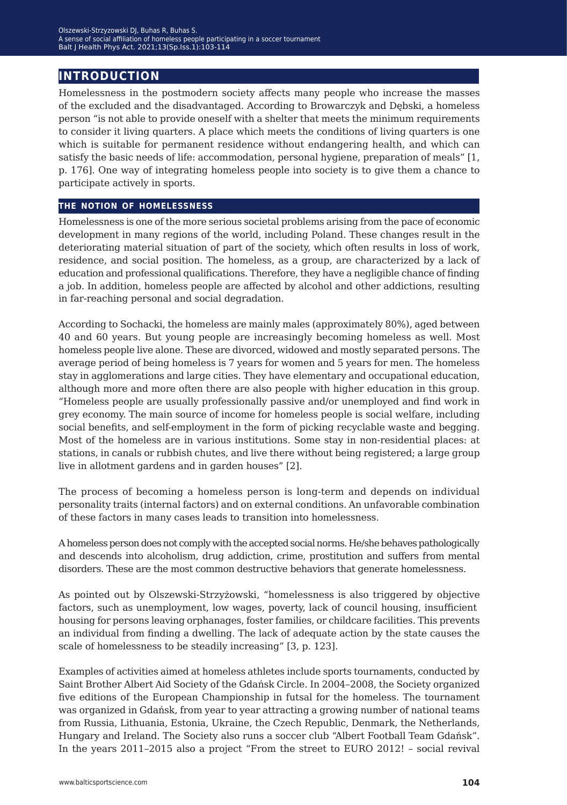# **introduction**

Homelessness in the postmodern society affects many people who increase the masses of the excluded and the disadvantaged. According to Browarczyk and Dębski, a homeless person "is not able to provide oneself with a shelter that meets the minimum requirements to consider it living quarters. A place which meets the conditions of living quarters is one which is suitable for permanent residence without endangering health, and which can satisfy the basic needs of life: accommodation, personal hygiene, preparation of meals" [1, p. 176]. One way of integrating homeless people into society is to give them a chance to participate actively in sports.

### **the notion of homelessness**

Homelessness is one of the more serious societal problems arising from the pace of economic development in many regions of the world, including Poland. These changes result in the deteriorating material situation of part of the society, which often results in loss of work, residence, and social position. The homeless, as a group, are characterized by a lack of education and professional qualifications. Therefore, they have a negligible chance of finding a job. In addition, homeless people are affected by alcohol and other addictions, resulting in far-reaching personal and social degradation.

According to Sochacki, the homeless are mainly males (approximately 80%), aged between 40 and 60 years. But young people are increasingly becoming homeless as well. Most homeless people live alone. These are divorced, widowed and mostly separated persons. The average period of being homeless is 7 years for women and 5 years for men. The homeless stay in agglomerations and large cities. They have elementary and occupational education, although more and more often there are also people with higher education in this group. "Homeless people are usually professionally passive and/or unemployed and find work in grey economy. The main source of income for homeless people is social welfare, including social benefits, and self-employment in the form of picking recyclable waste and begging. Most of the homeless are in various institutions. Some stay in non-residential places: at stations, in canals or rubbish chutes, and live there without being registered; a large group live in allotment gardens and in garden houses" [2].

The process of becoming a homeless person is long-term and depends on individual personality traits (internal factors) and on external conditions. An unfavorable combination of these factors in many cases leads to transition into homelessness.

A homeless person does not comply with the accepted social norms. He/she behaves pathologically and descends into alcoholism, drug addiction, crime, prostitution and suffers from mental disorders. These are the most common destructive behaviors that generate homelessness.

As pointed out by Olszewski-Strzyżowski, "homelessness is also triggered by objective factors, such as unemployment, low wages, poverty, lack of council housing, insufficient housing for persons leaving orphanages, foster families, or childcare facilities. This prevents an individual from finding a dwelling. The lack of adequate action by the state causes the scale of homelessness to be steadily increasing" [3, p. 123].

Examples of activities aimed at homeless athletes include sports tournaments, conducted by Saint Brother Albert Aid Society of the Gdańsk Circle. In 2004–2008, the Society organized five editions of the European Championship in futsal for the homeless. The tournament was organized in Gdańsk, from year to year attracting a growing number of national teams from Russia, Lithuania, Estonia, Ukraine, the Czech Republic, Denmark, the Netherlands, Hungary and Ireland. The Society also runs a soccer club "Albert Football Team Gdańsk". In the years 2011–2015 also a project "From the street to EURO 2012! – social revival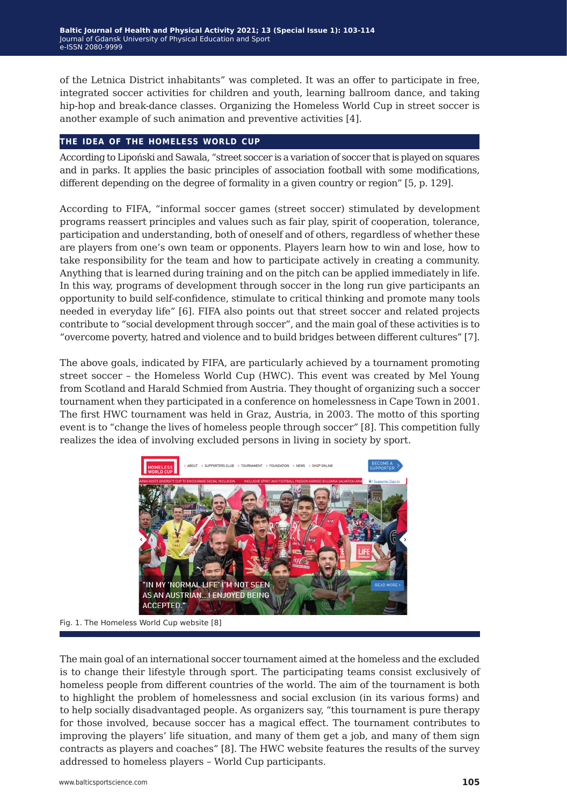of the Letnica District inhabitants" was completed. It was an offer to participate in free, integrated soccer activities for children and youth, learning ballroom dance, and taking hip-hop and break-dance classes. Organizing the Homeless World Cup in street soccer is another example of such animation and preventive activities [4].

#### **the idea of the homeless world cup**

According to Lipoński and Sawala, "street soccer is a variation of soccer that is played on squares and in parks. It applies the basic principles of association football with some modifications, different depending on the degree of formality in a given country or region" [5, p. 129].

According to FIFA, "informal soccer games (street soccer) stimulated by development programs reassert principles and values such as fair play, spirit of cooperation, tolerance, participation and understanding, both of oneself and of others, regardless of whether these are players from one's own team or opponents. Players learn how to win and lose, how to take responsibility for the team and how to participate actively in creating a community. Anything that is learned during training and on the pitch can be applied immediately in life. In this way, programs of development through soccer in the long run give participants an opportunity to build self-confidence, stimulate to critical thinking and promote many tools needed in everyday life" [6]. FIFA also points out that street soccer and related projects contribute to "social development through soccer", and the main goal of these activities is to "overcome poverty, hatred and violence and to build bridges between different cultures" [7].

The above goals, indicated by FIFA, are particularly achieved by a tournament promoting street soccer – the Homeless World Cup (HWC). This event was created by Mel Young from Scotland and Harald Schmied from Austria. They thought of organizing such a soccer tournament when they participated in a conference on homelessness in Cape Town in 2001. The first HWC tournament was held in Graz, Austria, in 2003. The motto of this sporting event is to "change the lives of homeless people through soccer" [8]. This competition fully realizes the idea of involving excluded persons in living in society by sport.



Fig. 1. The Homeless World Cup website [8]

The main goal of an international soccer tournament aimed at the homeless and the excluded is to change their lifestyle through sport. The participating teams consist exclusively of homeless people from different countries of the world. The aim of the tournament is both to highlight the problem of homelessness and social exclusion (in its various forms) and to help socially disadvantaged people. As organizers say, "this tournament is pure therapy for those involved, because soccer has a magical effect. The tournament contributes to improving the players' life situation, and many of them get a job, and many of them sign contracts as players and coaches" [8]. The HWC website features the results of the survey addressed to homeless players – World Cup participants.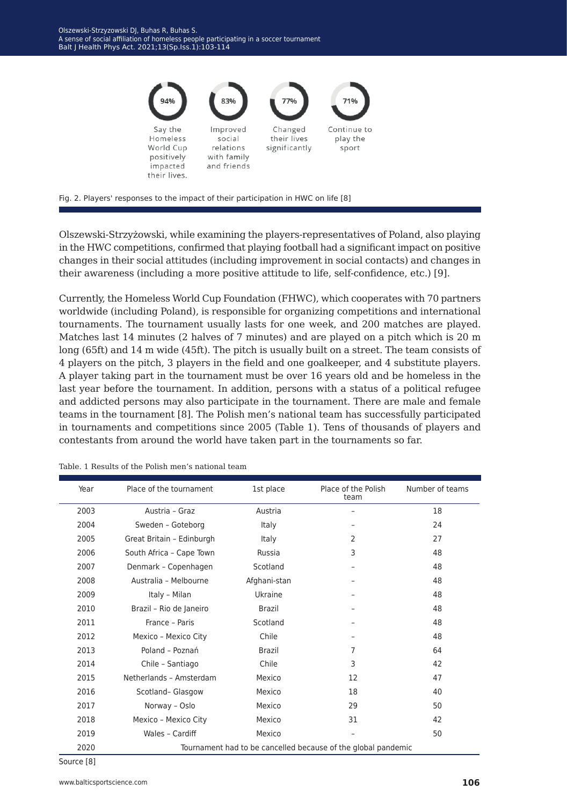

Fig. 2. Players' responses to the impact of their participation in HWC on life [8]

Olszewski-Strzyżowski, while examining the players-representatives of Poland, also playing in the HWC competitions, confirmed that playing football had a significant impact on positive changes in their social attitudes (including improvement in social contacts) and changes in their awareness (including a more positive attitude to life, self-confidence, etc.) [9].

Currently, the Homeless World Cup Foundation (FHWC), which cooperates with 70 partners worldwide (including Poland), is responsible for organizing competitions and international tournaments. The tournament usually lasts for one week, and 200 matches are played. Matches last 14 minutes (2 halves of 7 minutes) and are played on a pitch which is 20 m long (65ft) and 14 m wide (45ft). The pitch is usually built on a street. The team consists of 4 players on the pitch, 3 players in the field and one goalkeeper, and 4 substitute players. A player taking part in the tournament must be over 16 years old and be homeless in the last year before the tournament. In addition, persons with a status of a political refugee and addicted persons may also participate in the tournament. There are male and female teams in the tournament [8]. The Polish men's national team has successfully participated in tournaments and competitions since 2005 (Table 1). Tens of thousands of players and contestants from around the world have taken part in the tournaments so far.

| Year | Place of the tournament                                       | 1st place     | Place of the Polish<br>team | Number of teams |  |
|------|---------------------------------------------------------------|---------------|-----------------------------|-----------------|--|
| 2003 | Austria - Graz                                                | Austria       |                             | 18              |  |
| 2004 | Sweden - Goteborg                                             | Italy         |                             | 24              |  |
| 2005 | Great Britain - Edinburgh                                     | Italy         | 2                           | 27              |  |
| 2006 | South Africa - Cape Town                                      | Russia        | 3                           | 48              |  |
| 2007 | Denmark - Copenhagen                                          | Scotland      |                             | 48              |  |
| 2008 | Australia - Melbourne                                         | Afghani-stan  |                             | 48              |  |
| 2009 | Italy - Milan                                                 | Ukraine       |                             | 48              |  |
| 2010 | Brazil - Rio de Janeiro                                       | <b>Brazil</b> |                             | 48              |  |
| 2011 | France - Paris                                                | Scotland      |                             | 48              |  |
| 2012 | Mexico - Mexico City                                          | Chile         |                             | 48              |  |
| 2013 | Poland - Poznań                                               | <b>Brazil</b> | $\overline{7}$              | 64              |  |
| 2014 | Chile - Santiago                                              | Chile         | 3                           | 42              |  |
| 2015 | Netherlands - Amsterdam                                       | Mexico        | 12                          | 47              |  |
| 2016 | Scotland- Glasgow                                             | Mexico        | 18                          | 40              |  |
| 2017 | Norway - Oslo                                                 | Mexico        | 29                          | 50              |  |
| 2018 | Mexico - Mexico City                                          | Mexico        | 31                          | 42              |  |
| 2019 | Wales - Cardiff                                               | Mexico        |                             | 50              |  |
| 2020 | Tournament had to be cancelled because of the global pandemic |               |                             |                 |  |

Table. 1 Results of the Polish men's national team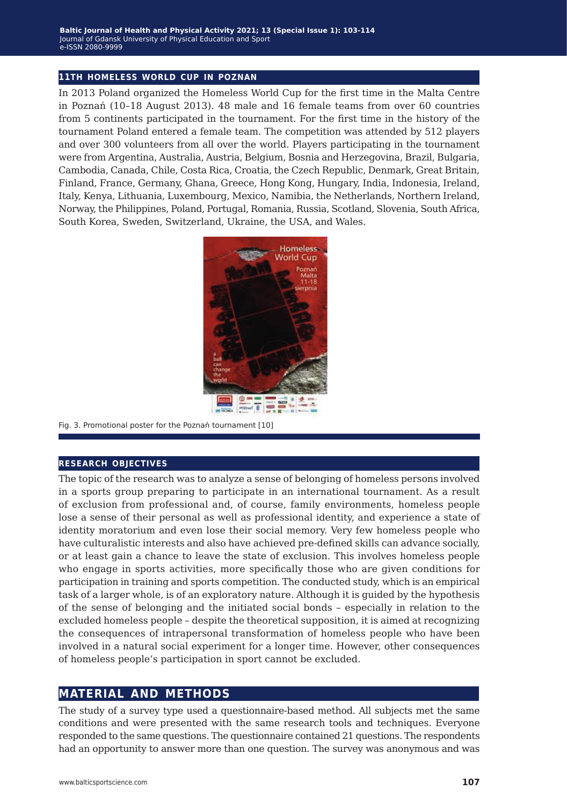#### **11th homeless world cup in poznan**

In 2013 Poland organized the Homeless World Cup for the first time in the Malta Centre in Poznań (10–18 August 2013). 48 male and 16 female teams from over 60 countries from 5 continents participated in the tournament. For the first time in the history of the tournament Poland entered a female team. The competition was attended by 512 players and over 300 volunteers from all over the world. Players participating in the tournament were from Argentina, Australia, Austria, Belgium, Bosnia and Herzegovina, Brazil, Bulgaria, Cambodia, Canada, Chile, Costa Rica, Croatia, the Czech Republic, Denmark, Great Britain, Finland, France, Germany, Ghana, Greece, Hong Kong, Hungary, India, Indonesia, Ireland, Italy, Kenya, Lithuania, Luxembourg, Mexico, Namibia, the Netherlands, Northern Ireland, Norway, the Philippines, Poland, Portugal, Romania, Russia, Scotland, Slovenia, South Africa, South Korea, Sweden, Switzerland, Ukraine, the USA, and Wales.



Fig. 3. Promotional poster for the Poznań tournament [10]

#### **research objectives**

The topic of the research was to analyze a sense of belonging of homeless persons involved in a sports group preparing to participate in an international tournament. As a result of exclusion from professional and, of course, family environments, homeless people lose a sense of their personal as well as professional identity, and experience a state of identity moratorium and even lose their social memory. Very few homeless people who have culturalistic interests and also have achieved pre-defined skills can advance socially, or at least gain a chance to leave the state of exclusion. This involves homeless people who engage in sports activities, more specifically those who are given conditions for participation in training and sports competition. The conducted study, which is an empirical task of a larger whole, is of an exploratory nature. Although it is guided by the hypothesis of the sense of belonging and the initiated social bonds – especially in relation to the excluded homeless people – despite the theoretical supposition, it is aimed at recognizing the consequences of intrapersonal transformation of homeless people who have been involved in a natural social experiment for a longer time. However, other consequences of homeless people's participation in sport cannot be excluded.

## **material and methods**

The study of a survey type used a questionnaire-based method. All subjects met the same conditions and were presented with the same research tools and techniques. Everyone responded to the same questions. The questionnaire contained 21 questions. The respondents had an opportunity to answer more than one question. The survey was anonymous and was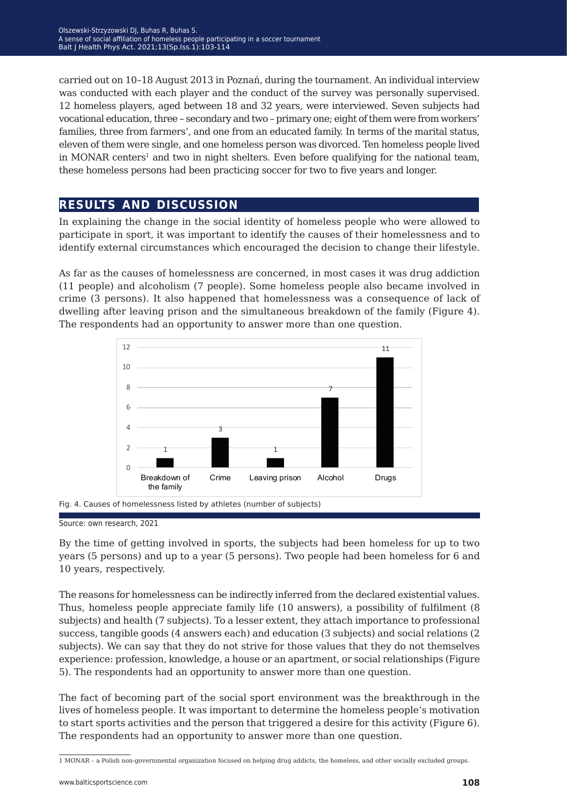carried out on 10–18 August 2013 in Poznań, during the tournament. An individual interview was conducted with each player and the conduct of the survey was personally supervised. 12 homeless players, aged between 18 and 32 years, were interviewed. Seven subjects had vocational education, three – secondary and two – primary one; eight of them were from workers' families, three from farmers', and one from an educated family. In terms of the marital status, eleven of them were single, and one homeless person was divorced. Ten homeless people lived in MONAR centers<sup>1</sup> and two in night shelters. Even before qualifying for the national team, these homeless persons had been practicing soccer for two to five years and longer.

# **results and discussion**

In explaining the change in the social identity of homeless people who were allowed to participate in sport, it was important to identify the causes of their homelessness and to identify external circumstances which encouraged the decision to change their lifestyle.

As far as the causes of homelessness are concerned, in most cases it was drug addiction (11 people) and alcoholism (7 people). Some homeless people also became involved in crime (3 persons). It also happened that homelessness was a consequence of lack of dwelling after leaving prison and the simultaneous breakdown of the family (Figure 4). The respondents had an opportunity to answer more than one question.



Fig. 4. Causes of homelessness listed by athletes (number of subjects)

By the time of getting involved in sports, the subjects had been homeless for up to two years (5 persons) and up to a year (5 persons). Two people had been homeless for 6 and 10 years, respectively.

The reasons for homelessness can be indirectly inferred from the declared existential values. Thus, homeless people appreciate family life (10 answers), a possibility of fulfilment (8 subjects) and health (7 subjects). To a lesser extent, they attach importance to professional success, tangible goods (4 answers each) and education (3 subjects) and social relations (2 subjects). We can say that they do not strive for those values that they do not themselves experience: profession, knowledge, a house or an apartment, or social relationships (Figure 5). The respondents had an opportunity to answer more than one question.

The fact of becoming part of the social sport environment was the breakthrough in the lives of homeless people. It was important to determine the homeless people's motivation to start sports activities and the person that triggered a desire for this activity (Figure 6). The respondents had an opportunity to answer more than one question.

Source: own research, 2021

<sup>1</sup> MONAR – a Polish non-governmental organization focused on helping drug addicts, the homeless, and other socially excluded groups.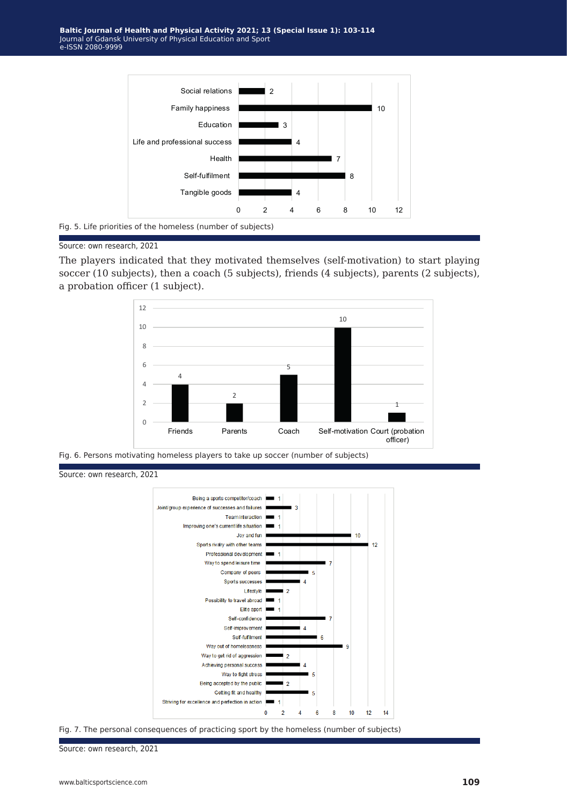

Fig. 5. Life priorities of the homeless (number of subjects)



The players indicated that they motivated themselves (self-motivation) to start playing soccer (10 subjects), then a coach (5 subjects), friends (4 subjects), parents (2 subjects), a probation officer (1 subject).



Fig. 6. Persons motivating homeless players to take up soccer (number of subjects)

Source: own research, 2021



Fig. 7. The personal consequences of practicing sport by the homeless (number of subjects)

Source: own research, 2021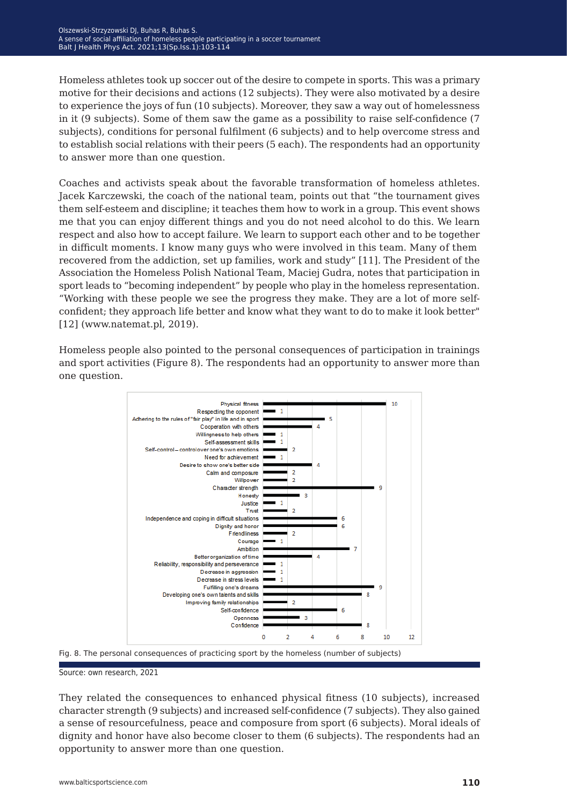Homeless athletes took up soccer out of the desire to compete in sports. This was a primary motive for their decisions and actions (12 subjects). They were also motivated by a desire to experience the joys of fun (10 subjects). Moreover, they saw a way out of homelessness in it (9 subjects). Some of them saw the game as a possibility to raise self-confidence (7 subjects), conditions for personal fulfilment (6 subjects) and to help overcome stress and to establish social relations with their peers (5 each). The respondents had an opportunity to answer more than one question.

Coaches and activists speak about the favorable transformation of homeless athletes. Jacek Karczewski, the coach of the national team, points out that "the tournament gives them self-esteem and discipline; it teaches them how to work in a group. This event shows me that you can enjoy different things and you do not need alcohol to do this. We learn respect and also how to accept failure. We learn to support each other and to be together in difficult moments. I know many guys who were involved in this team. Many of them recovered from the addiction, set up families, work and study" [11]. The President of the Association the Homeless Polish National Team, Maciej Gudra, notes that participation in sport leads to "becoming independent" by people who play in the homeless representation. "Working with these people we see the progress they make. They are a lot of more selfconfident; they approach life better and know what they want to do to make it look better" [12] (www.natemat.pl, 2019).

Homeless people also pointed to the personal consequences of participation in trainings and sport activities (Figure 8). The respondents had an opportunity to answer more than one question.



Fig. 8. The personal consequences of practicing sport by the homeless (number of subjects)

Source: own research, 2021

They related the consequences to enhanced physical fitness (10 subjects), increased character strength (9 subjects) and increased self-confidence (7 subjects). They also gained a sense of resourcefulness, peace and composure from sport (6 subjects). Moral ideals of dignity and honor have also become closer to them (6 subjects). The respondents had an opportunity to answer more than one question.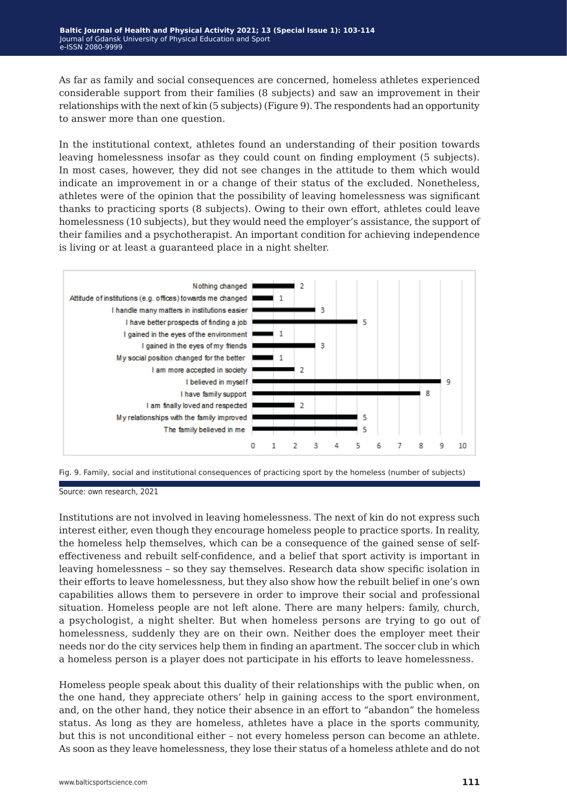As far as family and social consequences are concerned, homeless athletes experienced considerable support from their families (8 subjects) and saw an improvement in their relationships with the next of kin (5 subjects) (Figure 9). The respondents had an opportunity to answer more than one question.

In the institutional context, athletes found an understanding of their position towards leaving homelessness insofar as they could count on finding employment (5 subjects). In most cases, however, they did not see changes in the attitude to them which would indicate an improvement in or a change of their status of the excluded. Nonetheless, athletes were of the opinion that the possibility of leaving homelessness was significant thanks to practicing sports (8 subjects). Owing to their own effort, athletes could leave homelessness (10 subjects), but they would need the employer's assistance, the support of their families and a psychotherapist. An important condition for achieving independence is living or at least a guaranteed place in a night shelter.





Source: own research, 2021

Institutions are not involved in leaving homelessness. The next of kin do not express such interest either, even though they encourage homeless people to practice sports. In reality, the homeless help themselves, which can be a consequence of the gained sense of selfeffectiveness and rebuilt self-confidence, and a belief that sport activity is important in leaving homelessness – so they say themselves. Research data show specific isolation in their efforts to leave homelessness, but they also show how the rebuilt belief in one's own capabilities allows them to persevere in order to improve their social and professional situation. Homeless people are not left alone. There are many helpers: family, church, a psychologist, a night shelter. But when homeless persons are trying to go out of homelessness, suddenly they are on their own. Neither does the employer meet their needs nor do the city services help them in finding an apartment. The soccer club in which a homeless person is a player does not participate in his efforts to leave homelessness.

Homeless people speak about this duality of their relationships with the public when, on the one hand, they appreciate others' help in gaining access to the sport environment, and, on the other hand, they notice their absence in an effort to "abandon" the homeless status. As long as they are homeless, athletes have a place in the sports community, but this is not unconditional either – not every homeless person can become an athlete. As soon as they leave homelessness, they lose their status of a homeless athlete and do not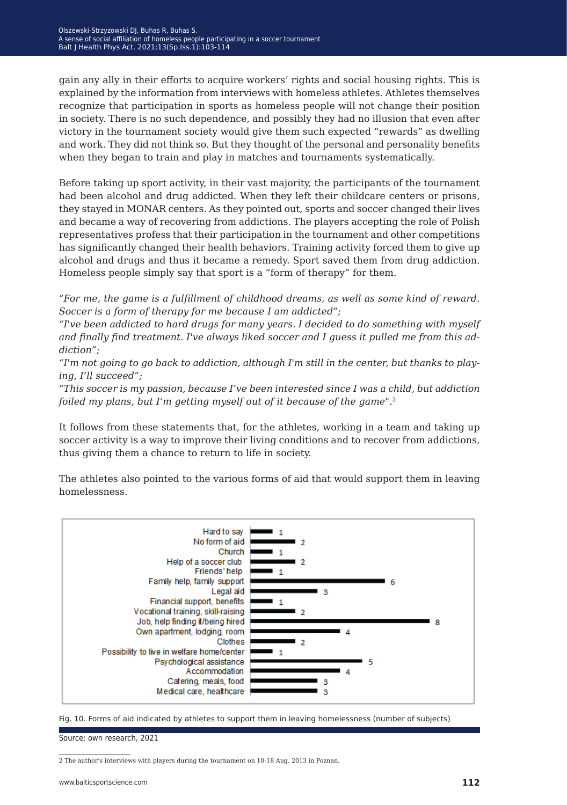gain any ally in their efforts to acquire workers' rights and social housing rights. This is explained by the information from interviews with homeless athletes. Athletes themselves recognize that participation in sports as homeless people will not change their position in society. There is no such dependence, and possibly they had no illusion that even after victory in the tournament society would give them such expected "rewards" as dwelling and work. They did not think so. But they thought of the personal and personality benefits when they began to train and play in matches and tournaments systematically.

Before taking up sport activity, in their vast majority, the participants of the tournament had been alcohol and drug addicted. When they left their childcare centers or prisons, they stayed in MONAR centers. As they pointed out, sports and soccer changed their lives and became a way of recovering from addictions. The players accepting the role of Polish representatives profess that their participation in the tournament and other competitions has significantly changed their health behaviors. Training activity forced them to give up alcohol and drugs and thus it became a remedy. Sport saved them from drug addiction. Homeless people simply say that sport is a "form of therapy" for them.

*"For me, the game is a fulfillment of childhood dreams, as well as some kind of reward. Soccer is a form of therapy for me because I am addicted";* 

*"I've been addicted to hard drugs for many years. I decided to do something with myself and finally find treatment. I've always liked soccer and I guess it pulled me from this addiction";*

*"I'm not going to go back to addiction, although I'm still in the center, but thanks to playing, I'll succeed";*

*"This soccer is my passion, because I've been interested since I was a child, but addiction foiled my plans, but I'm getting myself out of it because of the game".*<sup>2</sup>

It follows from these statements that, for the athletes, working in a team and taking up soccer activity is a way to improve their living conditions and to recover from addictions, thus giving them a chance to return to life in society.

The athletes also pointed to the various forms of aid that would support them in leaving homelessness.



Fig. 10. Forms of aid indicated by athletes to support them in leaving homelessness (number of subjects)

Source: own research, 2021

<sup>2</sup> The author's interviews with players during the tournament on 10-18 Aug. 2013 in Poznan.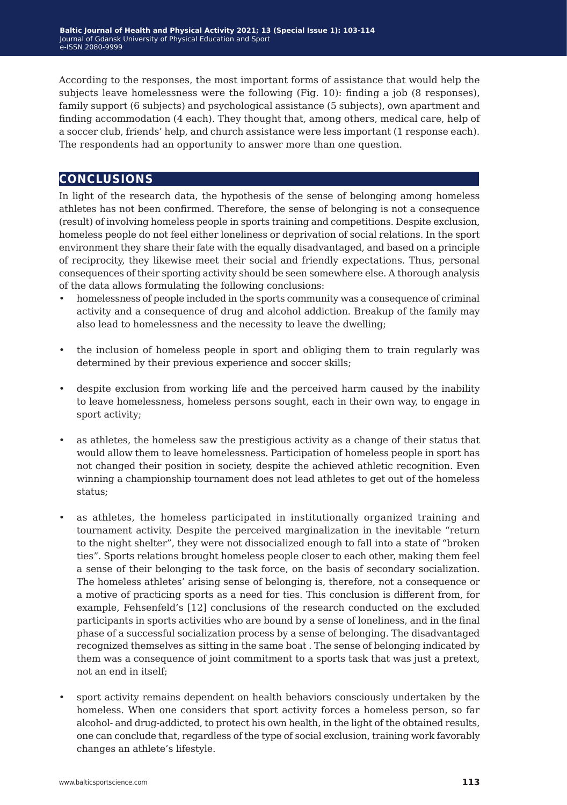According to the responses, the most important forms of assistance that would help the subjects leave homelessness were the following (Fig. 10): finding a job (8 responses), family support (6 subjects) and psychological assistance (5 subjects), own apartment and finding accommodation (4 each). They thought that, among others, medical care, help of a soccer club, friends' help, and church assistance were less important (1 response each). The respondents had an opportunity to answer more than one question.

# **conclusions**

In light of the research data, the hypothesis of the sense of belonging among homeless athletes has not been confirmed. Therefore, the sense of belonging is not a consequence (result) of involving homeless people in sports training and competitions. Despite exclusion, homeless people do not feel either loneliness or deprivation of social relations. In the sport environment they share their fate with the equally disadvantaged, and based on a principle of reciprocity, they likewise meet their social and friendly expectations. Thus, personal consequences of their sporting activity should be seen somewhere else. A thorough analysis of the data allows formulating the following conclusions:

- homelessness of people included in the sports community was a consequence of criminal activity and a consequence of drug and alcohol addiction. Breakup of the family may also lead to homelessness and the necessity to leave the dwelling;
- the inclusion of homeless people in sport and obliging them to train regularly was determined by their previous experience and soccer skills;
- despite exclusion from working life and the perceived harm caused by the inability to leave homelessness, homeless persons sought, each in their own way, to engage in sport activity;
- as athletes, the homeless saw the prestigious activity as a change of their status that would allow them to leave homelessness. Participation of homeless people in sport has not changed their position in society, despite the achieved athletic recognition. Even winning a championship tournament does not lead athletes to get out of the homeless status;
- as athletes, the homeless participated in institutionally organized training and tournament activity. Despite the perceived marginalization in the inevitable "return to the night shelter", they were not dissocialized enough to fall into a state of "broken ties". Sports relations brought homeless people closer to each other, making them feel a sense of their belonging to the task force, on the basis of secondary socialization. The homeless athletes' arising sense of belonging is, therefore, not a consequence or a motive of practicing sports as a need for ties. This conclusion is different from, for example, Fehsenfeld's [12] conclusions of the research conducted on the excluded participants in sports activities who are bound by a sense of loneliness, and in the final phase of a successful socialization process by a sense of belonging. The disadvantaged recognized themselves as sitting in the same boat . The sense of belonging indicated by them was a consequence of joint commitment to a sports task that was just a pretext, not an end in itself;
- sport activity remains dependent on health behaviors consciously undertaken by the homeless. When one considers that sport activity forces a homeless person, so far alcohol- and drug-addicted, to protect his own health, in the light of the obtained results, one can conclude that, regardless of the type of social exclusion, training work favorably changes an athlete's lifestyle.